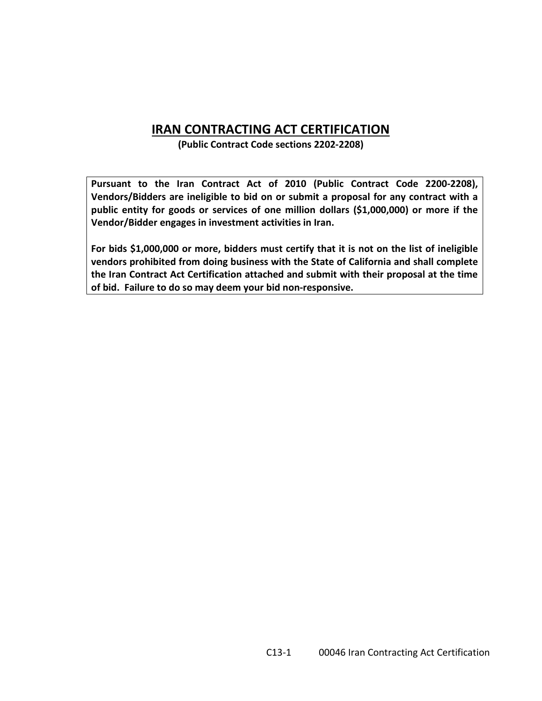# **IRAN CONTRACTING ACT CERTIFICATION**

**(Public Contract Code sections 2202-2208)**

**Pursuant to the Iran Contract Act of 2010 (Public Contract Code 2200-2208), Vendors/Bidders are ineligible to bid on or submit a proposal for any contract with a public entity for goods or services of one million dollars (\$1,000,000) or more if the Vendor/Bidder engages in investment activities in Iran.**

**For bids \$1,000,000 or more, bidders must certify that it is not on the list of ineligible vendors prohibited from doing business with the State of California and shall complete the Iran Contract Act Certification attached and submit with their proposal at the time of bid. Failure to do so may deem your bid non-responsive.**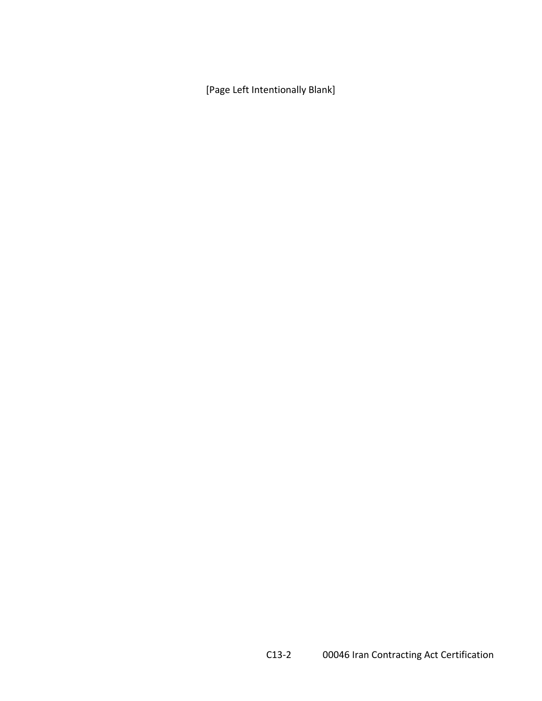[Page Left Intentionally Blank]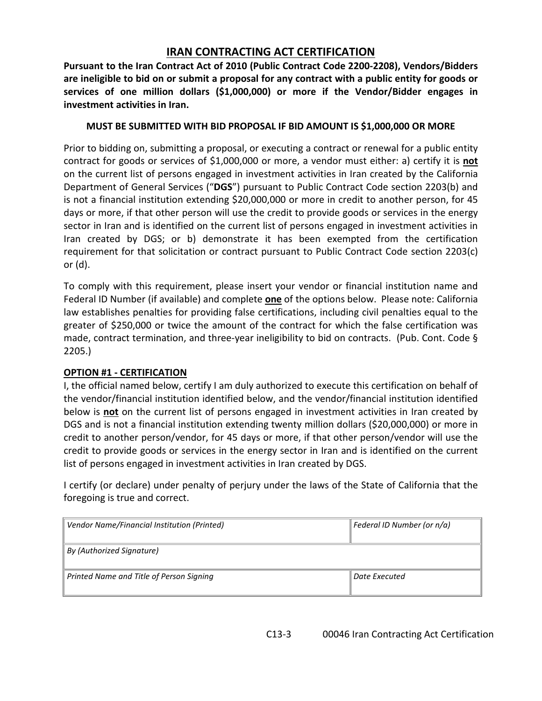## **IRAN CONTRACTING ACT CERTIFICATION**

**Pursuant to the Iran Contract Act of 2010 (Public Contract Code 2200-2208), Vendors/Bidders are ineligible to bid on or submit a proposal for any contract with a public entity for goods or services of one million dollars (\$1,000,000) or more if the Vendor/Bidder engages in investment activities in Iran.**

### **MUST BE SUBMITTED WITH BID PROPOSAL IF BID AMOUNT IS \$1,000,000 OR MORE**

Prior to bidding on, submitting a proposal, or executing a contract or renewal for a public entity contract for goods or services of \$1,000,000 or more, a vendor must either: a) certify it is **not** on the current list of persons engaged in investment activities in Iran created by the California Department of General Services ("**DGS**") pursuant to Public Contract Code section 2203(b) and is not a financial institution extending \$20,000,000 or more in credit to another person, for 45 days or more, if that other person will use the credit to provide goods or services in the energy sector in Iran and is identified on the current list of persons engaged in investment activities in Iran created by DGS; or b) demonstrate it has been exempted from the certification requirement for that solicitation or contract pursuant to Public Contract Code section 2203(c) or (d).

To comply with this requirement, please insert your vendor or financial institution name and Federal ID Number (if available) and complete **one** of the options below. Please note: California law establishes penalties for providing false certifications, including civil penalties equal to the greater of \$250,000 or twice the amount of the contract for which the false certification was made, contract termination, and three-year ineligibility to bid on contracts. (Pub. Cont. Code § 2205.)

#### **OPTION #1 - CERTIFICATION**

I, the official named below, certify I am duly authorized to execute this certification on behalf of the vendor/financial institution identified below, and the vendor/financial institution identified below is **not** on the current list of persons engaged in investment activities in Iran created by DGS and is not a financial institution extending twenty million dollars (\$20,000,000) or more in credit to another person/vendor, for 45 days or more, if that other person/vendor will use the credit to provide goods or services in the energy sector in Iran and is identified on the current list of persons engaged in investment activities in Iran created by DGS.

I certify (or declare) under penalty of perjury under the laws of the State of California that the foregoing is true and correct.

| Vendor Name/Financial Institution (Printed) | Federal ID Number (or n/a) |
|---------------------------------------------|----------------------------|
| By (Authorized Signature)                   |                            |
| Printed Name and Title of Person Signing    | Date Executed              |